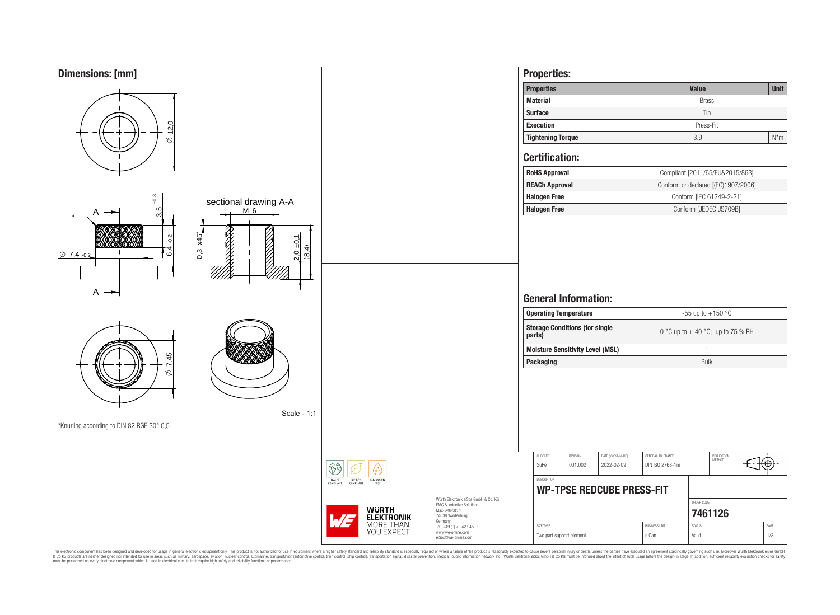

This electronic component has been designed and developed for usage in general electronic equipment only. This product is not authorized for subserved requipment where a higher selection equipment where a higher selection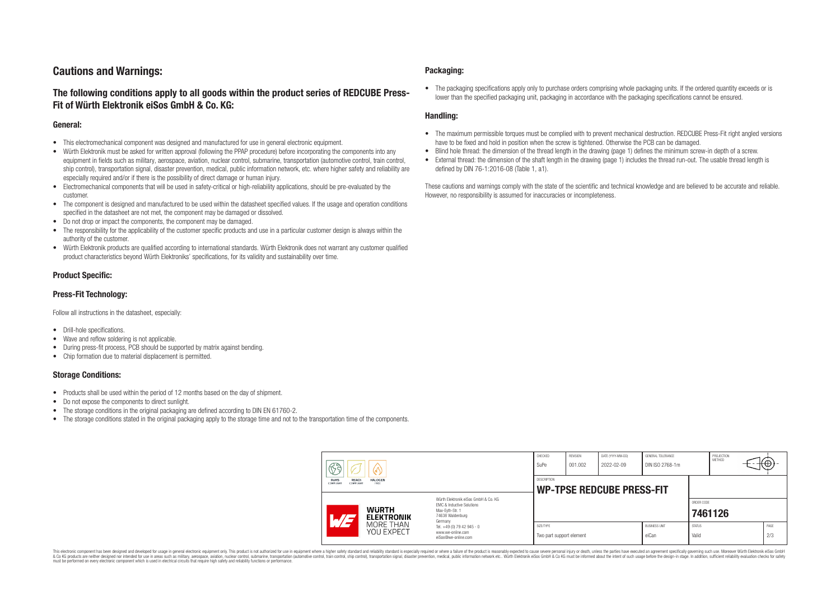# **Cautions and Warnings:**

# **The following conditions apply to all goods within the product series of REDCUBE Press-Fit of Würth Elektronik eiSos GmbH & Co. KG:**

#### **General:**

- This electromechanical component was designed and manufactured for use in general electronic equipment.
- Würth Elektronik must be asked for written approval (following the PPAP procedure) before incorporating the components into any equipment in fields such as military, aerospace, aviation, nuclear control, submarine, transportation (automotive control, train control, ship control), transportation signal, disaster prevention, medical, public information network, etc. where higher safety and reliability are especially required and/or if there is the possibility of direct damage or human injury.
- Electromechanical components that will be used in safety-critical or high-reliability applications, should be pre-evaluated by the customer.
- The component is designed and manufactured to be used within the datasheet specified values. If the usage and operation conditions specified in the datasheet are not met, the component may be damaged or dissolved.
- Do not drop or impact the components, the component may be damaged.
- The responsibility for the applicability of the customer specific products and use in a particular customer design is always within the authority of the customer.
- Würth Elektronik products are qualified according to international standards. Würth Elektronik does not warrant any customer qualified product characteristics beyond Würth Elektroniks' specifications, for its validity and sustainability over time.

### **Product Specific:**

### **Press-Fit Technology:**

Follow all instructions in the datasheet, especially:

- Drill-hole specifications.
- Wave and reflow soldering is not applicable.
- During press-fit process, PCB should be supported by matrix against bending.
- Chip formation due to material displacement is permitted.

### **Storage Conditions:**

- Products shall be used within the period of 12 months based on the day of shipment.
- Do not expose the components to direct sunlight.
- The storage conditions in the original packaging are defined according to DIN EN 61760-2.
- The storage conditions stated in the original packaging apply to the storage time and not to the transportation time of the components.

#### **Packaging:**

• The packaging specifications apply only to purchase orders comprising whole packaging units. If the ordered quantity exceeds or is lower than the specified packaging unit, packaging in accordance with the packaging specifications cannot be ensured.

### **Handling:**

- The maximum permissible torques must be complied with to prevent mechanical destruction. REDCUBE Press-Fit right angled versions have to be fixed and hold in position when the screw is tightened. Otherwise the PCB can be damaged.
- Blind hole thread: the dimension of the thread length in the drawing (page 1) defines the minimum screw-in depth of a screw.
- External thread: the dimension of the shaft length in the drawing (page 1) includes the thread run-out. The usable thread length is defined by DIN 76-1:2016-08 (Table 1, a1).

These cautions and warnings comply with the state of the scientific and technical knowledge and are believed to be accurate and reliable. However, no responsibility is assumed for inaccuracies or incompleteness.

| 63<br>60<br>RoHS<br><b>REACh</b><br><b>HALOGEN</b><br>COMPLIANT<br>FREE<br>COMPLIANT |                                                              |                                                                                                                                                                                               | CHECKED<br>SuPe                                        | REVISION<br>001.002 | DATE (YYYY-MM-DD)<br>2022-02-09 | GENERAL TOLERANCE<br>DIN ISO 2768-1m |                        | PROJECTION<br><b>METHOD</b> | ₩Ψ          |
|--------------------------------------------------------------------------------------|--------------------------------------------------------------|-----------------------------------------------------------------------------------------------------------------------------------------------------------------------------------------------|--------------------------------------------------------|---------------------|---------------------------------|--------------------------------------|------------------------|-----------------------------|-------------|
|                                                                                      |                                                              |                                                                                                                                                                                               | <b>DESCRIPTION</b><br><b>WP-TPSE REDCUBE PRESS-FIT</b> |                     |                                 |                                      |                        |                             |             |
| $\sqrt{47}$                                                                          | <b>WURTH</b><br><b>ELEKTRONIK</b><br>MORE THAN<br>YOU EXPECT | Würth Flektronik eiSos GmbH & Co. KG<br>FMC & Inductive Solutions<br>Max-Eyth-Str. 1<br>74638 Waldenburg<br>Germany<br>Tel. +49 (0) 79 42 945 - 0<br>www.we-online.com<br>eiSos@we-online.com |                                                        |                     |                                 |                                      | ORDER CODE             | 7461126                     |             |
|                                                                                      |                                                              |                                                                                                                                                                                               | SIZE/TYPE<br>Two part support element                  |                     |                                 | <b>BUSINESS UNIT</b><br>eiCan        | <b>STATUS</b><br>Valid |                             | PAGE<br>2/3 |

This electronic component has been designed and developed for usage in general electronic equipment only. This product is not authorized for use in equipment where a higher safety standard and reliability standard si espec & Ook product a label and the membed of the seasuch as marked and as which such a membed and the such assume that income in the seasuch and the simulation and the such assume that include to the such a membed and the such